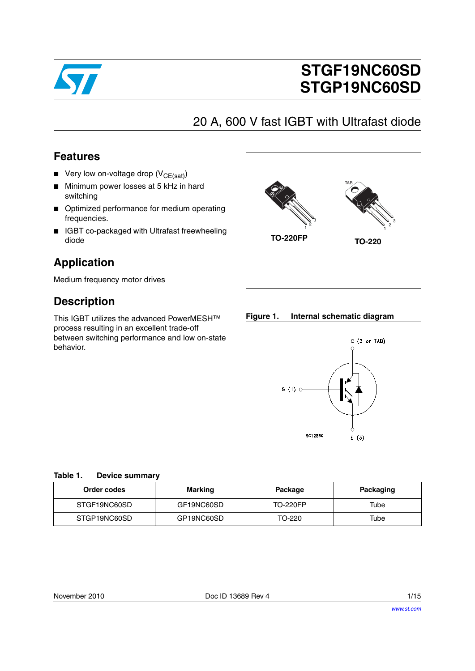

# **STGF19NC60SD STGP19NC60SD**

## 20 A, 600 V fast IGBT with Ultrafast diode

## **Features**

- **■** Very low on-voltage drop  $(V_{CE(sat)})$
- Minimum power losses at 5 kHz in hard switching
- Optimized performance for medium operating frequencies.
- IGBT co-packaged with Ultrafast freewheeling diode

## **Application**

Medium frequency motor drives

## **Description**

This IGBT utilizes the advanced PowerMESH™ process resulting in an excellent trade-off between switching performance and low on-state behavior.



#### **Figure 1. Internal schematic diagram**



#### **Table 1. Device summary**

| Order codes  | Marking    | Package         | Packaging |
|--------------|------------|-----------------|-----------|
| STGF19NC60SD | GF19NC60SD | <b>TO-220FP</b> | Tube      |
| STGP19NC60SD | GP19NC60SD | TO-220          | Tube      |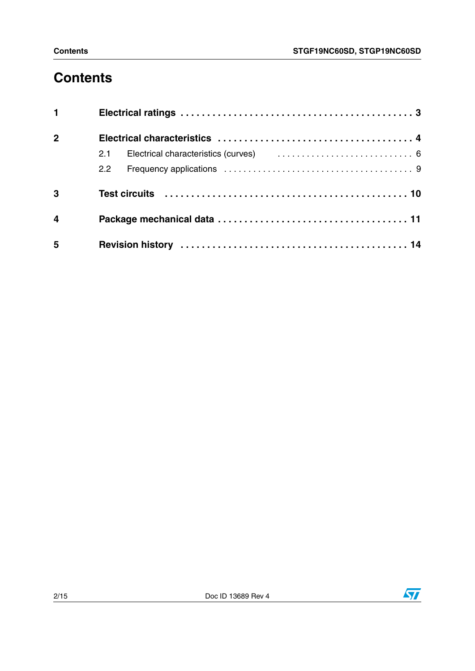# **Contents**

| 1              |                                                                                                                                                                                                                                |
|----------------|--------------------------------------------------------------------------------------------------------------------------------------------------------------------------------------------------------------------------------|
| $\overline{2}$ |                                                                                                                                                                                                                                |
|                |                                                                                                                                                                                                                                |
|                | $2.2^{\circ}$                                                                                                                                                                                                                  |
| 3              | Test circuits (a) respectively and the respectively contained a respectively and the respectively and the respectively and the respectively and the respectively and the respectively and respectively and respectively and re |
| $\overline{4}$ |                                                                                                                                                                                                                                |
| 5              |                                                                                                                                                                                                                                |

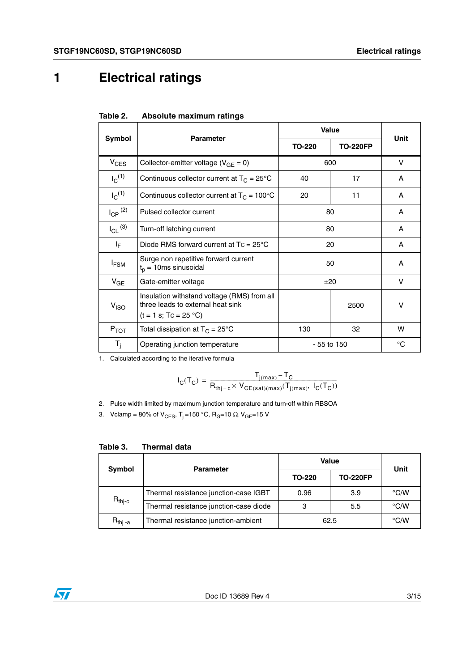# <span id="page-2-0"></span>**1 Electrical ratings**

|                         | <b>Parameter</b>                                                                                            | <b>Value</b>  | <b>Unit</b>     |    |  |
|-------------------------|-------------------------------------------------------------------------------------------------------------|---------------|-----------------|----|--|
| Symbol                  |                                                                                                             | <b>TO-220</b> | <b>TO-220FP</b> |    |  |
| $V_{CES}$               | Collector-emitter voltage ( $V_{GF} = 0$ )                                                                  | 600           |                 | v  |  |
| $I_C^{(1)}$             | Continuous collector current at $T_C = 25^{\circ}C$                                                         | 40            | 17              | A  |  |
| $I_C^{(1)}$             | Continuous collector current at $T_C = 100^{\circ}C$                                                        | 11            | A               |    |  |
| $I_{CP}$ <sup>(2)</sup> | Pulsed collector current<br>80                                                                              |               |                 | A  |  |
| $I_{CL}$ (3)            | Turn-off latching current                                                                                   | 80            | A               |    |  |
| ΙF                      | Diode RMS forward current at $Tc = 25^{\circ}C$                                                             | 20            | A               |    |  |
| $I_{FSM}$               | Surge non repetitive forward current<br>$t_p = 10$ ms sinusoidal                                            | 50            | A               |    |  |
| $V_{GE}$                | Gate-emitter voltage                                                                                        |               | ±20             |    |  |
| V <sub>ISO</sub>        | Insulation withstand voltage (RMS) from all<br>three leads to external heat sink<br>$(t = 1 s; Tc = 25 °C)$ | 2500          |                 | V  |  |
| $P_{TOT}$               | Total dissipation at $T_C = 25^{\circ}C$                                                                    | 130           | w               |    |  |
| $T_i$                   | Operating junction temperature                                                                              | $-55$ to 150  |                 | °C |  |

| Table 2. | Absolute maximum ratings |  |
|----------|--------------------------|--|
|----------|--------------------------|--|

1. Calculated according to the iterative formula

$$
I_C(T_C) = \frac{T_{j(max)} - T_C}{R_{thj-c} \times V_{CE(sat)(max)}(T_{j(max)}, \ I_C(T_C))}
$$

2. Pulse width limited by maximum junction temperature and turn-off within RBSOA

3. Vclamp = 80% of V<sub>CES</sub>, T<sub>j</sub> = 150 °C, R<sub>G</sub>=10 Ω, V<sub>GE</sub>=15 V

| Symbol               | <b>Parameter</b>                       | <b>Value</b>  | Unit            |               |
|----------------------|----------------------------------------|---------------|-----------------|---------------|
|                      |                                        | <b>TO-220</b> | <b>TO-220FP</b> |               |
|                      | Thermal resistance junction-case IGBT  | 0.96          | 3.9             | $\degree$ C/W |
| $R_{\mathsf{thj-c}}$ | Thermal resistance junction-case diode | 3             | 5.5             | $\degree$ C/W |
| $R_{thi}$ -a         | Thermal resistance junction-ambient    |               | 62.5            |               |

#### **Table 3. Thermal data**

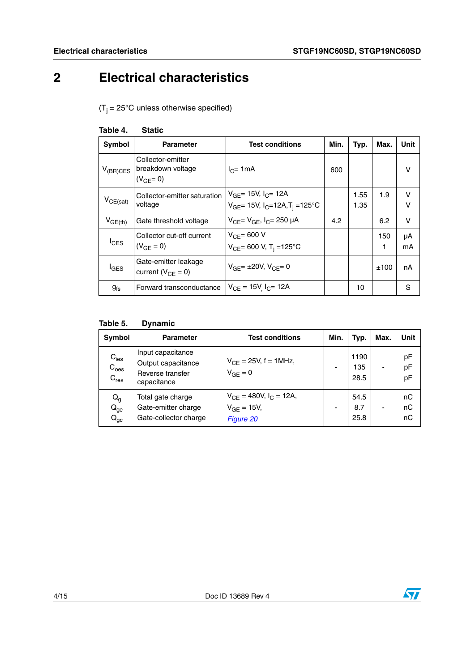# <span id="page-3-0"></span>**2 Electrical characteristics**

 $(T<sub>i</sub> = 25°C$  unless otherwise specified)

<span id="page-3-1"></span>

| Table 4. | <b>Static</b> |
|----------|---------------|
|----------|---------------|

| Symbol           | <b>Parameter</b>                                         | <b>Test conditions</b>                                                                     | Min. | Typ.         | Max.     | Unit        |
|------------------|----------------------------------------------------------|--------------------------------------------------------------------------------------------|------|--------------|----------|-------------|
| $V_{(BR)CES}$    | Collector-emitter<br>breakdown voltage<br>$(V_{GF} = 0)$ | $I_{C}$ = 1mA                                                                              | 600  |              |          | v           |
| $V_{CE(sat)}$    | Collector-emitter saturation<br>voltage                  | $V_{GF}$ = 15V, $I_{C}$ = 12A<br>$V_{GE}$ = 15V, I <sub>C</sub> =12A,T <sub>i</sub> =125°C |      | 1.55<br>1.35 | 1.9      | v<br>$\vee$ |
| $V_{GE(th)}$     | Gate threshold voltage                                   | $V_{CF} = V_{GF}$ , $I_{C} = 250 \mu A$                                                    | 4.2  |              | 6.2      | V           |
| $I_{CES}$        | Collector cut-off current<br>$(V_{GF} = 0)$              | $V_{CF}$ = 600 V<br>$V_{CE}$ = 600 V, T <sub>i</sub> = 125°C                               |      |              | 150<br>1 | μA<br>mA    |
| $I_{\text{GES}}$ | Gate-emitter leakage<br>current ( $V_{CF} = 0$ )         | $V_{GF} = \pm 20V$ , $V_{CE} = 0$                                                          |      |              | ±100     | nA          |
| $g_{fs}$         | Forward transconductance                                 | $V_{CE} = 15V I_{C} = 12A$                                                                 |      | 10           |          | S           |

### **Table 5. Dynamic**

| Symbol                                            | <b>Parameter</b>                                                           | <b>Test conditions</b>                                        | Min. | Typ.                | Max. | <b>Unit</b>    |
|---------------------------------------------------|----------------------------------------------------------------------------|---------------------------------------------------------------|------|---------------------|------|----------------|
| $C_{\text{ies}}$<br>$C_{\text{oes}}$<br>$C_{res}$ | Input capacitance<br>Output capacitance<br>Reverse transfer<br>capacitance | $V_{CE} = 25V, f = 1MHz,$<br>$V_{GF} = 0$                     |      | 1190<br>135<br>28.5 |      | pF<br>pF<br>pF |
| $\mathsf{Q}_{\mathsf{g}}$<br>$Q_{ge}$<br>$Q_{gc}$ | Total gate charge<br>Gate-emitter charge<br>Gate-collector charge          | $V_{CE}$ = 480V, $I_C$ = 12A,<br>$V_{GE}$ = 15V,<br>Figure 20 |      | 54.5<br>8.7<br>25.8 |      | nC<br>nC<br>nC |

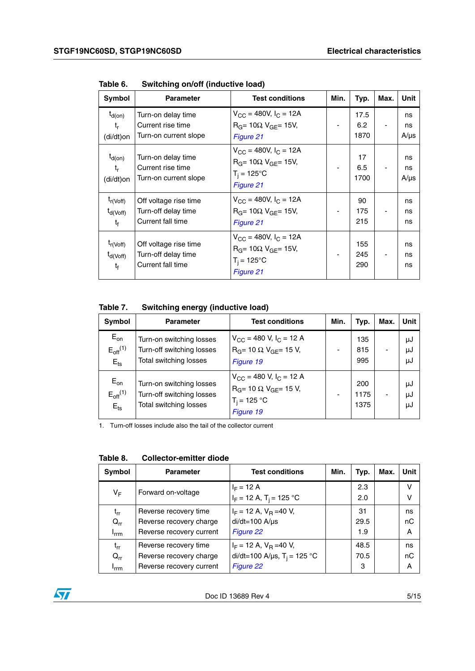| Symbol                                           | <b>Parameter</b>                                                  | <b>Test conditions</b>                                                                                                    | Min.                     | Typ.                | Max. | Unit                  |
|--------------------------------------------------|-------------------------------------------------------------------|---------------------------------------------------------------------------------------------------------------------------|--------------------------|---------------------|------|-----------------------|
| $t_{d(on)}$<br>t,<br>(di/dt)on                   | Turn-on delay time<br>Current rise time<br>Turn-on current slope  | $V_{CC}$ = 480V, $I_C$ = 12A<br>$R_G$ = 10 $\Omega$ V <sub>GF</sub> = 15V,<br>Figure 21                                   | $\overline{\phantom{a}}$ | 17.5<br>6.2<br>1870 |      | ns<br>ns<br>$A/\mu s$ |
| $t_{d(on)}$<br>t,<br>(di/dt)on                   | Turn-on delay time<br>Current rise time<br>Turn-on current slope  | $V_{\text{CC}} = 480V, I_{\text{C}} = 12A$<br>$RG = 10\Omega$ V <sub>GF</sub> = 15V,<br>$T_i = 125^{\circ}C$<br>Figure 21 |                          | 17<br>6.5<br>1700   |      | ns<br>ns<br>$A/\mu s$ |
| $t_{r(Voff)}$<br>$t_{d(Voff)}$<br>t <sub>f</sub> | Off voltage rise time<br>Turn-off delay time<br>Current fall time | $V_{CC}$ = 480V, I <sub>C</sub> = 12A<br>$R_G$ = 10 $\Omega$ V <sub>GF</sub> = 15V,<br>Figure 21                          | $\overline{\phantom{a}}$ | 90<br>175<br>215    |      | ns<br>ns<br>ns        |
| $t_{r(Voff)}$<br>$t_{d(Voff)}$<br>$t_{\rm f}$    | Off voltage rise time<br>Turn-off delay time<br>Current fall time | $V_{CC}$ = 480V, $I_C$ = 12A<br>$R_G$ = 10 $\Omega$ V <sub>GF</sub> = 15V,<br>$T_i = 125^{\circ}C$<br>Figure 21           |                          | 155<br>245<br>290   |      | ns<br>ns<br>ns        |

**Table 6. Switching on/off (inductive load)**

**Table 7. Switching energy (inductive load)**

| <b>Symbol</b>                                             | <b>Parameter</b>                                                                | <b>Test conditions</b>                                                                                                  | Min. | Typ.                | Max. | <b>Unit</b>    |
|-----------------------------------------------------------|---------------------------------------------------------------------------------|-------------------------------------------------------------------------------------------------------------------------|------|---------------------|------|----------------|
| $E_{on}$<br>$E_{off}$ <sup>(1)</sup><br>$E$ <sub>ts</sub> | Turn-on switching losses<br>Turn-off switching losses<br>Total switching losses | $V_{\text{CC}}$ = 480 V, I <sub>C</sub> = 12 A<br>$R_G$ = 10 $\Omega$ , $V_{GF}$ = 15 V,<br>Figure 19                   |      | 135<br>815<br>995   |      | μJ<br>μJ<br>μJ |
| $E_{on}$<br>$E_{off}$ <sup>(1)</sup><br>$E$ <sub>ts</sub> | Turn-on switching losses<br>Turn-off switching losses<br>Total switching losses | $V_{\text{CC}}$ = 480 V, I <sub>C</sub> = 12 A<br>$R_G$ = 10 $\Omega$ , $V_{GF}$ = 15 V,<br>$T_i = 125 °C$<br>Figure 19 |      | 200<br>1175<br>1375 |      | μJ<br>μJ<br>μJ |

1. Turn-off losses include also the tail of the collector current

| Symbol                                                | <b>Parameter</b>                                                             | <b>Test conditions</b>                                                             | Min. | Typ.              | Max. | Unit          |
|-------------------------------------------------------|------------------------------------------------------------------------------|------------------------------------------------------------------------------------|------|-------------------|------|---------------|
| VF                                                    | Forward on-voltage                                                           | $I_F = 12 A$<br>$I_F = 12 A$ , T <sub>i</sub> = 125 °C                             |      | 2.3<br>2.0        |      | v<br>v        |
| $\mathfrak{t}_{\mathsf{rr}}$<br>$Q_{rr}$<br>$I_{rrm}$ | Reverse recovery time<br>Reverse recovery charge<br>Reverse recovery current | $I_F$ = 12 A, $V_R$ =40 V,<br>$di/dt = 100$ A/ $\mu s$<br>Figure 22                |      | 31<br>29.5<br>1.9 |      | ns<br>nC<br>A |
| $t_{rr}$<br>$Q_{rr}$<br>$I_{rrm}$                     | Reverse recovery time<br>Reverse recovery charge<br>Reverse recovery current | $I_F$ = 12 A, $V_R$ =40 V,<br>di/dt=100 A/µs, T <sub>i</sub> = 125 °C<br>Figure 22 |      | 48.5<br>70.5<br>3 |      | ns<br>nC<br>A |

**Table 8. Collector-emitter diode**

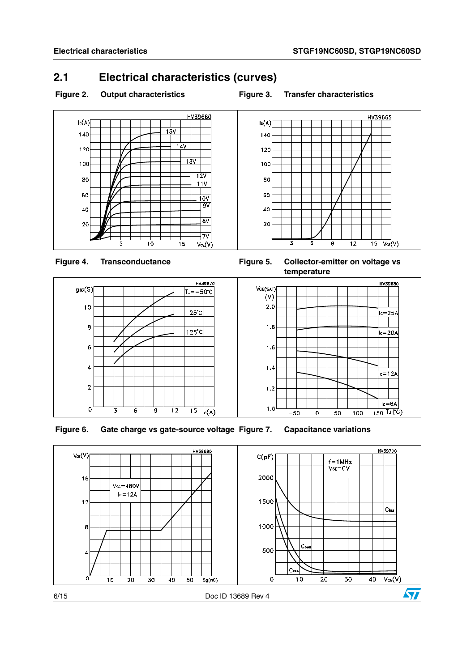## <span id="page-5-0"></span>**2.1 Electrical characteristics (curves)**

#### Figure 2. Output characteristics **Figure 3. Transfer characteristics**











**Figure 6. Gate charge vs gate-source voltage Figure 7. Capacitance variations**

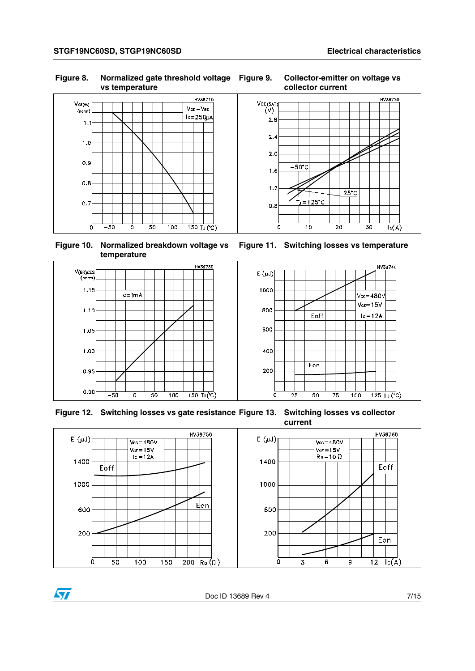HV39720

#### **Figure 8. Normalized gate threshold voltage vs temperature**



**Figure 11. Switching losses vs temperature**

 $25^{\circ}$ C

 $\overline{30}$ 

 $lc(A)$ 

 $\overline{20}$ 

 $-50^{\circ}$ C

 $T_J = 125^{\circ}$ C

 $\overline{10}$ 



**Figure 10. Normalized breakdown voltage vs temperature**

 $\sqrt{}$ 



**Figure 12. Switching losses vs gate resistance Figure 13. Switching losses vs collector current**



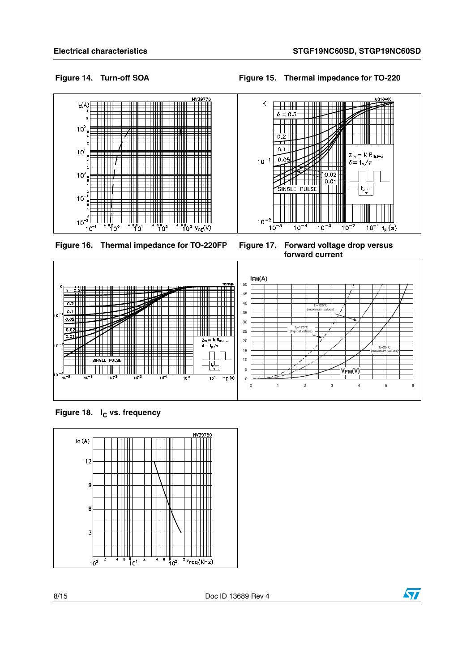$Z_{\text{th}} = k R_{\text{thJ}-\alpha}$ 

 $10^{-1}$ 

 $t_{\rm p}(s)$ 

 $\delta = \frac{t}{\rho}/\tau$ 

GC18400

**Figure 14. Turn-off SOA Figure 15. Thermal impedance for TO-220**

 $\mathsf K$ 

 $10^{-1}$ 

 $10^{-2}$ 

 $10^{-5}$ 

T TIN  $\delta = 0.5$ 

 $0.2$  | | |

 $0.1$  |  $\Box$ 

 $0.05$ 

 $\overline{\mathbf{r}}$ SINGLE PULSE

 $\frac{1}{10^{-4}}$ 



**Figure 16. Thermal impedance for TO-220FP Figure 17. Forward voltage drop versus** 

**forward current**

 $10^{-3}$ 

 $0.02$ 

 $0.01$ 

 $\mathsf{L}$ 

 $\frac{1}{10^{-2}}$ 

 $\pm\frac{1}{2}$ 

 $\mathbb T$ 



**Figure 18.** I<sub>C</sub> vs. frequency



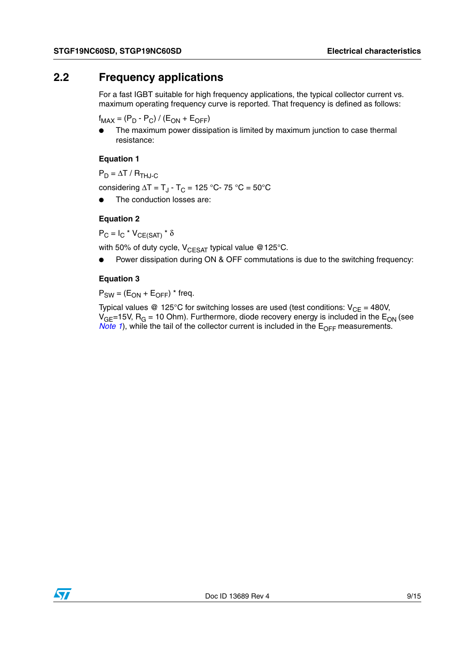## <span id="page-8-0"></span>**2.2 Frequency applications**

For a fast IGBT suitable for high frequency applications, the typical collector current vs. maximum operating frequency curve is reported. That frequency is defined as follows:

 $f_{MAX} = (P_D - P_C) / (E_{ON} + E_{OFF})$ 

The maximum power dissipation is limited by maximum junction to case thermal resistance:

#### **Equation 1**

 $P_D = \Delta T / R_{THJ-C}$ 

considering  $\Delta T = T_{J} - T_{C} = 125 °C - 75 °C = 50 °C$ 

The conduction losses are:

#### **Equation 2**

 $P_C = I_C * V_{CF(SAT)} * \delta$ 

with 50% of duty cycle,  $V_{CFSAT}$  typical value @125°C.

Power dissipation during ON & OFF commutations is due to the switching frequency:

#### **Equation 3**

 $P_{SW} = (E_{ON} + E_{OFF})$  \* freq.

Typical values @ 125°C for switching losses are used (test conditions:  $V_{CE} = 480V$ ,  $V_{GF}=15V$ , R<sub>G</sub> = 10 Ohm). Furthermore, diode recovery energy is included in the E<sub>ON</sub> (see *Note 1*), while the tail of the collector current is included in the  $E_{\text{OFF}}$  measurements.

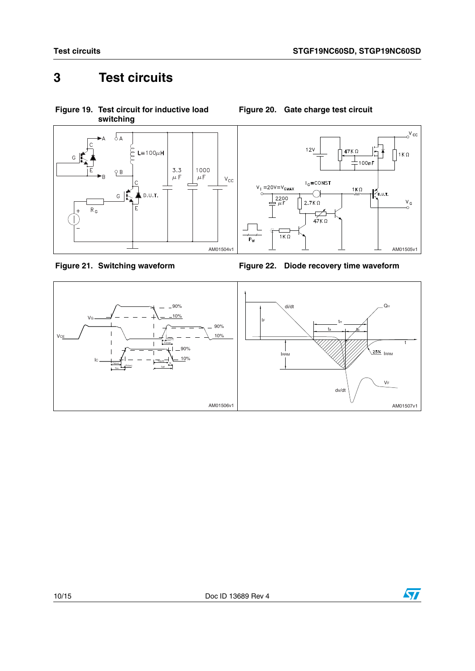# <span id="page-9-0"></span>**3 Test circuits**

<span id="page-9-3"></span>**Figure 19. Test circuit for inductive load** 



<span id="page-9-4"></span>

<span id="page-9-1"></span>

<span id="page-9-2"></span>



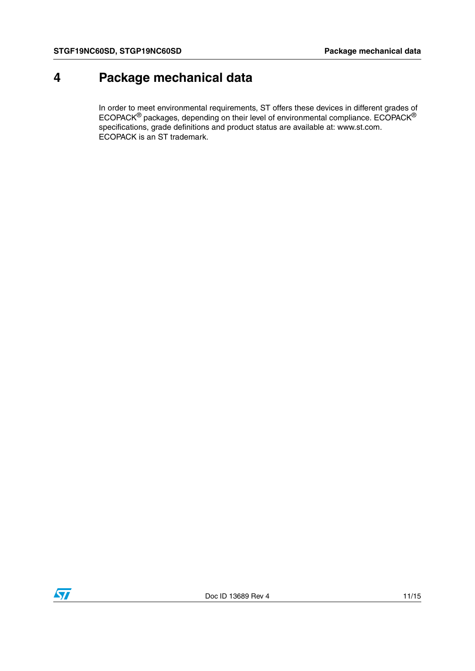## <span id="page-10-0"></span>**4 Package mechanical data**

In order to meet environmental requirements, ST offers these devices in different grades of ECOPACK® packages, depending on their level of environmental compliance. ECOPACK® specifications, grade definitions and product status are available at: www.st.com. ECOPACK is an ST trademark.

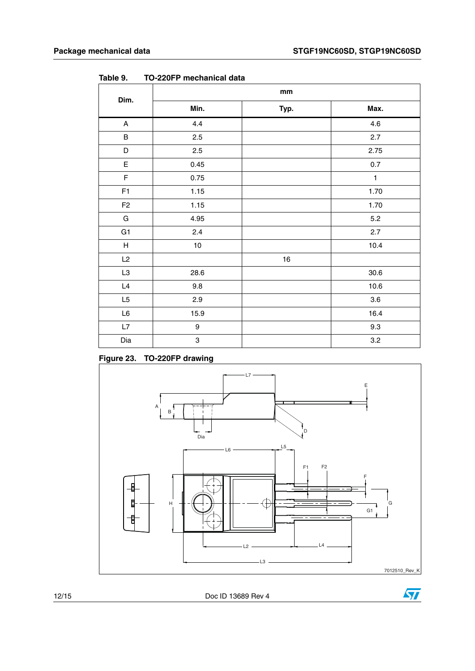|                |                           | mm   |              |
|----------------|---------------------------|------|--------------|
| Dim.           | Min.                      | Typ. | Max.         |
| $\mathsf{A}$   | 4.4                       |      | 4.6          |
| $\sf B$        | 2.5                       |      | 2.7          |
| D              | 2.5                       |      | 2.75         |
| $\mathsf E$    | 0.45                      |      | $0.7\,$      |
| $\mathsf F$    | 0.75                      |      | $\mathbf{1}$ |
| F1             | 1.15                      |      | 1.70         |
| F <sub>2</sub> | 1.15                      |      | 1.70         |
| G              | 4.95                      |      | 5.2          |
| G <sub>1</sub> | 2.4                       |      | $2.7\,$      |
| H              | 10                        |      | 10.4         |
| L2             |                           | 16   |              |
| L3             | 28.6                      |      | $30.6\,$     |
| $\mathsf{L}4$  | 9.8                       |      | 10.6         |
| L5             | 2.9                       |      | $3.6\,$      |
| $\mathsf{L6}$  | 15.9                      |      | 16.4         |
| L7             | $\boldsymbol{9}$          |      | $9.3\,$      |
| Dia            | $\ensuremath{\mathsf{3}}$ |      | $3.2\,$      |

Table 9. **Table 9. TO-220FP mechanical data**

**Figure 23. TO-220FP drawing**





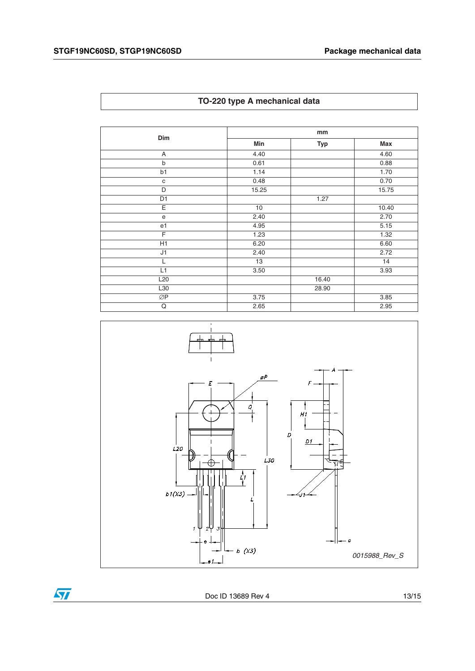| TO-220 type A mechanical data |  |  |  |  |  |
|-------------------------------|--|--|--|--|--|
|-------------------------------|--|--|--|--|--|

| Dim             | mm    |            |       |  |
|-----------------|-------|------------|-------|--|
|                 | Min   | <b>Typ</b> | Max   |  |
| A               | 4.40  |            | 4.60  |  |
| $\mathsf b$     | 0.61  |            | 0.88  |  |
| b1              | 1.14  |            | 1.70  |  |
| $\mathbf{C}$    | 0.48  |            | 0.70  |  |
| D               | 15.25 |            | 15.75 |  |
| D <sub>1</sub>  |       | 1.27       |       |  |
| Ε               | 10    |            | 10.40 |  |
| ${\bf e}$       | 2.40  |            | 2.70  |  |
| e <sub>1</sub>  | 4.95  |            | 5.15  |  |
| F               | 1.23  |            | 1.32  |  |
| H1              | 6.20  |            | 6.60  |  |
| J1              | 2.40  |            | 2.72  |  |
|                 | 13    |            | 14    |  |
| L1              | 3.50  |            | 3.93  |  |
| L <sub>20</sub> |       | 16.40      |       |  |
| L30             |       | 28.90      |       |  |
| ØP              | 3.75  |            | 3.85  |  |
| Q               | 2.65  |            | 2.95  |  |



 $\sqrt{2}$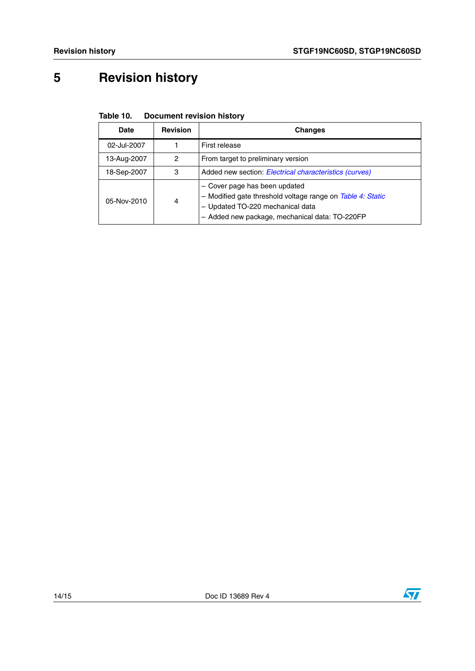# <span id="page-13-0"></span>**5 Revision history**

| Table 10. | <b>Document revision history</b> |  |
|-----------|----------------------------------|--|
|           |                                  |  |

| Date        | <b>Revision</b> | <b>Changes</b>                                                                                                                                                                    |
|-------------|-----------------|-----------------------------------------------------------------------------------------------------------------------------------------------------------------------------------|
| 02-Jul-2007 |                 | First release                                                                                                                                                                     |
| 13-Aug-2007 | 2               | From target to preliminary version                                                                                                                                                |
| 18-Sep-2007 | 3               | Added new section: Electrical characteristics (curves)                                                                                                                            |
| 05-Nov-2010 | 4               | - Cover page has been updated<br>- Modified gate threshold voltage range on Table 4: Static<br>- Updated TO-220 mechanical data<br>- Added new package, mechanical data: TO-220FP |